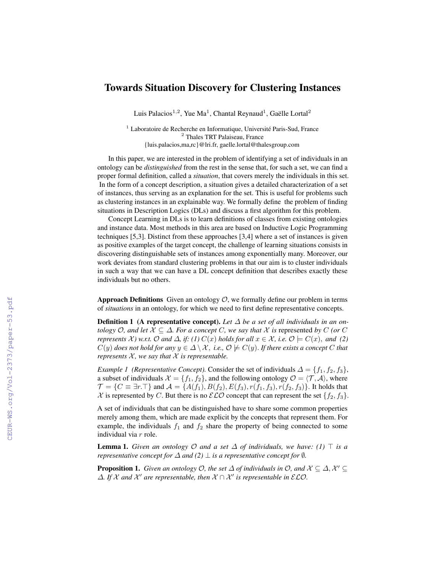## Towards Situation Discovery for Clustering Instances

Luis Palacios<sup>1,2</sup>, Yue Ma<sup>1</sup>, Chantal Reynaud<sup>1</sup>, Gaëlle Lortal<sup>2</sup>

<sup>1</sup> Laboratoire de Recherche en Informatique, Université Paris-Sud, France <sup>2</sup> Thales TRT Palaiseau, France {luis.palacios,ma,rc}@lri.fr, gaelle.lortal@thalesgroup.com

In this paper, we are interested in the problem of identifying a set of individuals in an ontology can be *distinguished* from the rest in the sense that, for such a set, we can find a proper formal definition, called a *situation*, that covers merely the individuals in this set. In the form of a concept description, a situation gives a detailed characterization of a set of instances, thus serving as an explanation for the set. This is useful for problems such as clustering instances in an explainable way. We formally define the problem of finding situations in Description Logics (DLs) and discuss a first algorithm for this problem.

Concept Learning in DLs is to learn definitions of classes from existing ontologies and instance data. Most methods in this area are based on Inductive Logic Programming techniques [5,3]. Distinct from these approaches [3,4] where a set of instances is given as positive examples of the target concept, the challenge of learning situations consists in discovering distinguishable sets of instances among exponentially many. Moreover, our work deviates from standard clustering problems in that our aim is to cluster individuals in such a way that we can have a DL concept definition that describes exactly these individuals but no others.

**Approach Definitions** Given an ontology  $\mathcal{O}$ , we formally define our problem in terms of *situations* in an ontology, for which we need to first define representative concepts.

**Definition 1** (A representative concept). Let  $\Delta$  be a set of all individuals in an on*tology*  $O$ *, and let*  $X \subseteq \Delta$ *. For a concept*  $C$ *, we say that*  $X$  *is* represented *by*  $C$  *(or*  $C$ *represents*  $\mathcal{X}$ *)* w.r.t.  $\mathcal{O}$  *and*  $\Delta$ *, if:* (1)  $C(x)$  *holds for all*  $x \in \mathcal{X}$ *, i.e.*  $\mathcal{O} \models C(x)$ *, and* (2)  $C(y)$  does not hold for any  $y \in \Delta \setminus \mathcal{X}$ , *i.e.*,  $\mathcal{O} \not\models C(y)$ . If there exists a concept C that *represents*  $X$ *, we say that*  $X$  *is representable.* 

*Example 1 (Representative Concept)*. Consider the set of individuals  $\Delta = \{f_1, f_2, f_3\}$ , a subset of individuals  $\mathcal{X} = \{f_1, f_2\}$ , and the following ontology  $\mathcal{O} = \langle \mathcal{T}, \mathcal{A} \rangle$ , where  $\mathcal{T} = \{C \equiv \exists r.\top\}$  and  $\mathcal{A} = \{A(f_1), B(f_2), E(f_3), r(f_1, f_3), r(f_2, f_3)\}$ . It holds that X is represented by C. But there is no  $\mathcal{ELO}$  concept that can represent the set  $\{f_2, f_3\}$ .

A set of individuals that can be distinguished have to share some common properties merely among them, which are made explicit by the concepts that represent them. For example, the individuals  $f_1$  and  $f_2$  share the property of being connected to some individual via r role.

**Lemma 1.** *Given an ontology*  $\mathcal{O}$  *and a set*  $\Delta$  *of individuals, we have:* (1)  $\top$  *is a representative concept for*  $\Delta$  *and* (2)  $\perp$  *is a representative concept for*  $\emptyset$ *.* 

**Proposition 1.** *Given an ontology*  $O$ *, the set*  $\Delta$  *of individuals in*  $O$ *, and*  $\mathcal{X} \subseteq \Delta$ ,  $\mathcal{X}' \subseteq$  $\Delta$ *. If*  $\chi$  and  $\chi'$  are representable, then  $\chi \cap \chi'$  is representable in  $\mathcal{ELO}$ *.*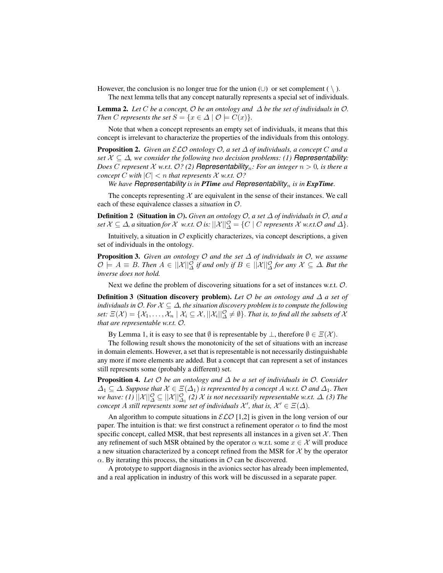However, the conclusion is no longer true for the union  $(\cup)$  or set complement ( \).

The next lemma tells that any concept naturally represents a special set of individuals.

**Lemma 2.** Let C be a concept,  $\mathcal O$  be an ontology and  $\Delta$  be the set of individuals in  $\mathcal O$ . *Then C represents the set*  $S = \{x \in \Delta \mid \mathcal{O} \models C(x)\}.$ 

Note that when a concept represents an empty set of individuals, it means that this concept is irrelevant to characterize the properties of the individuals from this ontology.

**Proposition 2.** *Given an*  $\mathcal{ELO}$  *ontology*  $\mathcal{O}$ *, a set*  $\Delta$  *of individuals, a concept*  $C$  *and a set*  $X \subseteq \Delta$ *, we consider the following two decision problems: (1)* **Representability**: *Does* C represent X w.r.t.  $O$ ? (2) **Representability**<sub>n</sub>: For an integer  $n > 0$ , is there a *concept* C with  $|C| < n$  *that represents* X *w.r.t.* 0?

*We have Representability is in PTime and Representability<sub>n</sub> is in ExpTime.* 

The concepts representing  $X$  are equivalent in the sense of their instances. We call each of these equivalence classes a *situation* in O.

Definition 2 (Situation in O). *Given an ontology* O*, a set* ∆ *of individuals in* O*, and a*  $\mathcal{S}$ *set*  $\mathcal{X} \subseteq \Delta$ , a situation for  $\mathcal{X}$  *w.r.t.*  $\mathcal{O}$  *is:*  $||\mathcal{X}||_{\Delta}^{\mathcal{O}} = \{C \mid C \text{ represents } \mathcal{X} \text{ w.r.t. } \mathcal{O} \text{ and } \Delta\}.$ 

Intuitively, a situation in  $\mathcal O$  explicitly characterizes, via concept descriptions, a given set of individuals in the ontology.

**Proposition 3.** *Given an ontology*  $O$  *and the set*  $\Delta$  *of individuals in*  $O$ *, we assume*  $\mathcal{O} \models A \equiv B$ *. Then*  $A \in ||\mathcal{X}||_{\Delta}^{\mathcal{O}}$  if and only if  $B \in ||\mathcal{X}||_{\Delta}^{\mathcal{O}}$  for any  $\mathcal{X} \subseteq \Delta$ *. But the inverse does not hold.*

Next we define the problem of discovering situations for a set of instances w.r.t.  $\mathcal{O}$ .

Definition 3 (Situation discovery problem). *Let* O *be an ontology and* ∆ *a set of individuals in O. For*  $X \subseteq \Delta$ *, the situation discovery problem is to compute the following*  $set: \Xi(\mathcal{X})=\{\mathcal{X}_1,\ldots,\mathcal{X}_n \mid \mathcal{X}_i\subseteq \mathcal{X}, ||\mathcal{X}_i||^{\mathcal{O}}_{\Delta}\neq \emptyset\}.$  *That is, to find all the subsets of*  $\mathcal X$ *that are representable w.r.t.* O*.*

By Lemma 1, it is easy to see that  $\emptyset$  is representable by  $\bot$ , therefore  $\emptyset \in \Xi(\mathcal{X})$ .

The following result shows the monotonicity of the set of situations with an increase in domain elements. However, a set that is representable is not necessarily distinguishable any more if more elements are added. But a concept that can represent a set of instances still represents some (probably a different) set.

Proposition 4. *Let* O *be an ontology and* ∆ *be a set of individuals in* O*. Consider*  $\Delta_1 \subseteq \Delta$ *. Suppose that*  $\mathcal{X} \in \Xi(\Delta_1)$  *is represented by a concept* A *w.r.t.* O and  $\Delta_1$ *. Then* we have: (1)  $||\mathcal{X}||_\Delta^\mathcal{O} \subseteq ||\mathcal{X}||_\Delta^\mathcal{O}$  (2)  $\mathcal X$  is not necessarily representable w.r.t.  $\Delta$ . (3) The *concept* A still represents some set of individuals  $\mathcal{X}'$ , that is,  $\mathcal{X}' \in \Xi(\Delta)$ .

An algorithm to compute situations in  $\mathcal{ELO}$  [1,2] is given in the long version of our paper. The intuition is that: we first construct a refinement operator  $\alpha$  to find the most specific concept, called MSR, that best represents all instances in a given set  $X$ . Then any refinement of such MSR obtained by the operator  $\alpha$  w.r.t. some  $x \in \mathcal{X}$  will produce a new situation characterized by a concept refined from the MSR for  $X$  by the operator  $\alpha$ . By iterating this process, the situations in  $\mathcal O$  can be discovered.

A prototype to support diagnosis in the avionics sector has already been implemented, and a real application in industry of this work will be discussed in a separate paper.